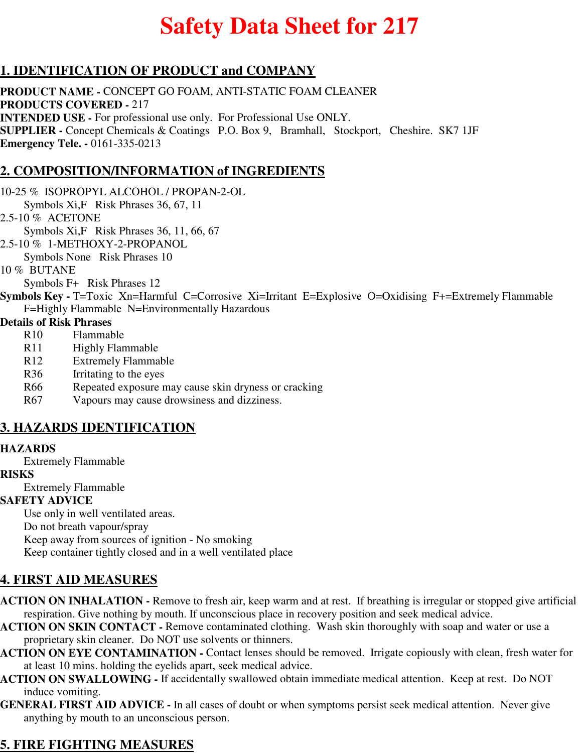# **Safety Data Sheet for 217**

# **1. IDENTIFICATION OF PRODUCT and COMPANY**

**PRODUCT NAME -** CONCEPT GO FOAM, ANTI-STATIC FOAM CLEANER **PRODUCTS COVERED -** 217 **INTENDED USE -** For professional use only. For Professional Use ONLY. **SUPPLIER -** Concept Chemicals & Coatings P.O. Box 9, Bramhall, Stockport, Cheshire. SK7 1JF **Emergency Tele. -** 0161-335-0213

## **2. COMPOSITION/INFORMATION of INGREDIENTS**

10-25 % ISOPROPYL ALCOHOL / PROPAN-2-OL

Symbols Xi,F Risk Phrases 36, 67, 11

2.5-10 % ACETONE

Symbols Xi,F Risk Phrases 36, 11, 66, 67

2.5-10 % 1-METHOXY-2-PROPANOL

Symbols None Risk Phrases 10

10 % BUTANE

Symbols F+ Risk Phrases 12

**Symbols Key -** T=Toxic Xn=Harmful C=Corrosive Xi=Irritant E=Explosive O=Oxidising F+=Extremely Flammable F=Highly Flammable N=Environmentally Hazardous

#### **Details of Risk Phrases**

- R10 Flammable
- R<sub>11</sub> Highly Flammable
- R12 Extremely Flammable
- R36 Irritating to the eyes
- R66 Repeated exposure may cause skin dryness or cracking

R67 Vapours may cause drowsiness and dizziness.

### **3. HAZARDS IDENTIFICATION**

#### **HAZARDS**

Extremely Flammable

#### **RISKS**

Extremely Flammable

#### **SAFETY ADVICE**

Use only in well ventilated areas.

Do not breath vapour/spray

Keep away from sources of ignition - No smoking

Keep container tightly closed and in a well ventilated place

# **4. FIRST AID MEASURES**

**ACTION ON INHALATION -** Remove to fresh air, keep warm and at rest. If breathing is irregular or stopped give artificial respiration. Give nothing by mouth. If unconscious place in recovery position and seek medical advice.

**ACTION ON SKIN CONTACT -** Remove contaminated clothing. Wash skin thoroughly with soap and water or use a proprietary skin cleaner. Do NOT use solvents or thinners.

**ACTION ON EYE CONTAMINATION -** Contact lenses should be removed. Irrigate copiously with clean, fresh water for at least 10 mins. holding the eyelids apart, seek medical advice.

**ACTION ON SWALLOWING -** If accidentally swallowed obtain immediate medical attention. Keep at rest. Do NOT induce vomiting.

**GENERAL FIRST AID ADVICE -** In all cases of doubt or when symptoms persist seek medical attention. Never give anything by mouth to an unconscious person.

# **5. FIRE FIGHTING MEASURES**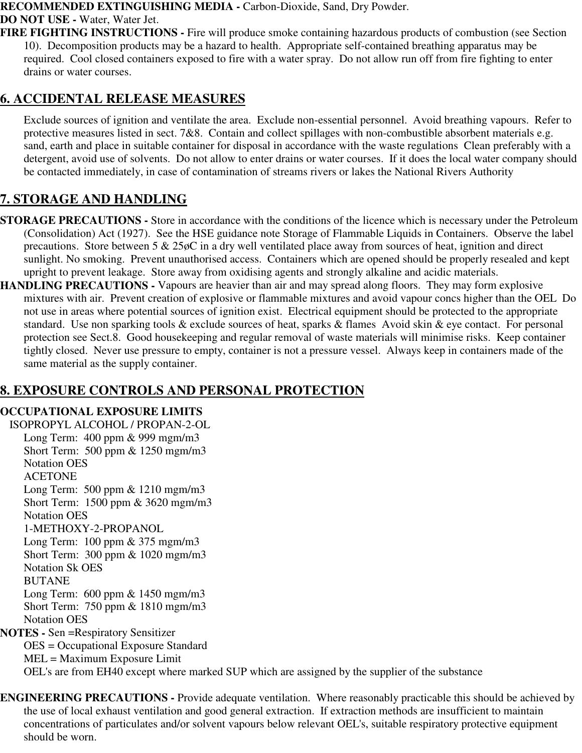#### **RECOMMENDED EXTINGUISHING MEDIA -** Carbon-Dioxide, Sand, Dry Powder. **DO NOT USE -** Water, Water Jet.

**FIRE FIGHTING INSTRUCTIONS -** Fire will produce smoke containing hazardous products of combustion (see Section 10). Decomposition products may be a hazard to health. Appropriate self-contained breathing apparatus may be required. Cool closed containers exposed to fire with a water spray. Do not allow run off from fire fighting to enter drains or water courses.

# **6. ACCIDENTAL RELEASE MEASURES**

Exclude sources of ignition and ventilate the area. Exclude non-essential personnel. Avoid breathing vapours. Refer to protective measures listed in sect. 7&8. Contain and collect spillages with non-combustible absorbent materials e.g. sand, earth and place in suitable container for disposal in accordance with the waste regulations Clean preferably with a detergent, avoid use of solvents. Do not allow to enter drains or water courses. If it does the local water company should be contacted immediately, in case of contamination of streams rivers or lakes the National Rivers Authority

# **7. STORAGE AND HANDLING**

- **STORAGE PRECAUTIONS** Store in accordance with the conditions of the licence which is necessary under the Petroleum (Consolidation) Act (1927). See the HSE guidance note Storage of Flammable Liquids in Containers. Observe the label precautions. Store between 5 & 25øC in a dry well ventilated place away from sources of heat, ignition and direct sunlight. No smoking. Prevent unauthorised access. Containers which are opened should be properly resealed and kept upright to prevent leakage. Store away from oxidising agents and strongly alkaline and acidic materials.
- **HANDLING PRECAUTIONS** Vapours are heavier than air and may spread along floors. They may form explosive mixtures with air. Prevent creation of explosive or flammable mixtures and avoid vapour concs higher than the OEL Do not use in areas where potential sources of ignition exist. Electrical equipment should be protected to the appropriate standard. Use non sparking tools & exclude sources of heat, sparks & flames Avoid skin & eye contact. For personal protection see Sect.8. Good housekeeping and regular removal of waste materials will minimise risks. Keep container tightly closed. Never use pressure to empty, container is not a pressure vessel. Always keep in containers made of the same material as the supply container.

# **8. EXPOSURE CONTROLS AND PERSONAL PROTECTION**

#### **OCCUPATIONAL EXPOSURE LIMITS**

ISOPROPYL ALCOHOL / PROPAN-2-OL Long Term: 400 ppm & 999 mgm/m3 Short Term: 500 ppm & 1250 mgm/m3 Notation OES ACETONE Long Term: 500 ppm & 1210 mgm/m3 Short Term: 1500 ppm & 3620 mgm/m3 Notation OES 1-METHOXY-2-PROPANOL Long Term: 100 ppm & 375 mgm/m3 Short Term: 300 ppm & 1020 mgm/m3 Notation Sk OES BUTANE Long Term: 600 ppm & 1450 mgm/m3 Short Term: 750 ppm & 1810 mgm/m3 Notation OES **NOTES -** Sen =Respiratory Sensitizer OES = Occupational Exposure Standard MEL = Maximum Exposure Limit OEL's are from EH40 except where marked SUP which are assigned by the supplier of the substance

**ENGINEERING PRECAUTIONS -** Provide adequate ventilation. Where reasonably practicable this should be achieved by the use of local exhaust ventilation and good general extraction. If extraction methods are insufficient to maintain concentrations of particulates and/or solvent vapours below relevant OEL's, suitable respiratory protective equipment should be worn.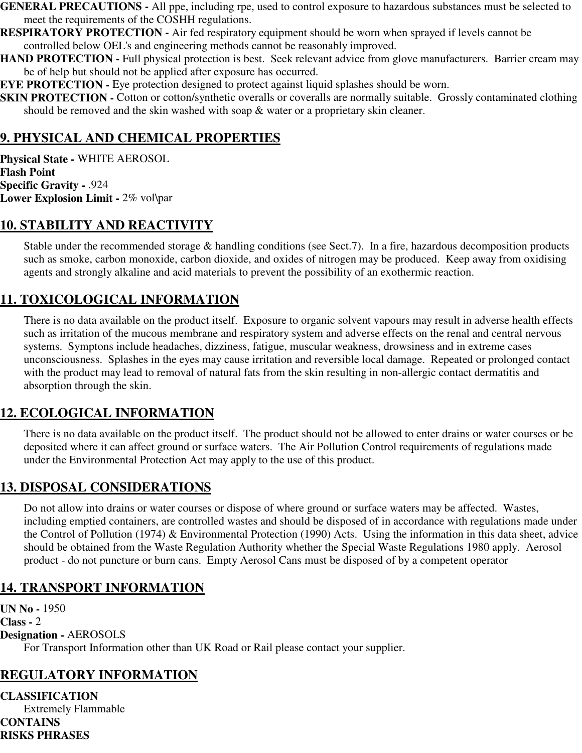- **GENERAL PRECAUTIONS** All ppe, including rpe, used to control exposure to hazardous substances must be selected to meet the requirements of the COSHH regulations.
- **RESPIRATORY PROTECTION** Air fed respiratory equipment should be worn when sprayed if levels cannot be controlled below OEL's and engineering methods cannot be reasonably improved.
- **HAND PROTECTION Full physical protection is best. Seek relevant advice from glove manufacturers. Barrier cream may** be of help but should not be applied after exposure has occurred.
- **EYE PROTECTION -** Eye protection designed to protect against liquid splashes should be worn.
- **SKIN PROTECTION -** Cotton or cotton/synthetic overalls or coveralls are normally suitable. Grossly contaminated clothing should be removed and the skin washed with soap & water or a proprietary skin cleaner.

# **9. PHYSICAL AND CHEMICAL PROPERTIES**

**Physical State -** WHITE AEROSOL **Flash Point Specific Gravity -** .924 **Lower Explosion Limit -** 2% vol\par

# **10. STABILITY AND REACTIVITY**

Stable under the recommended storage & handling conditions (see Sect.7). In a fire, hazardous decomposition products such as smoke, carbon monoxide, carbon dioxide, and oxides of nitrogen may be produced. Keep away from oxidising agents and strongly alkaline and acid materials to prevent the possibility of an exothermic reaction.

# **11. TOXICOLOGICAL INFORMATION**

There is no data available on the product itself. Exposure to organic solvent vapours may result in adverse health effects such as irritation of the mucous membrane and respiratory system and adverse effects on the renal and central nervous systems. Symptons include headaches, dizziness, fatigue, muscular weakness, drowsiness and in extreme cases unconsciousness. Splashes in the eyes may cause irritation and reversible local damage. Repeated or prolonged contact with the product may lead to removal of natural fats from the skin resulting in non-allergic contact dermatitis and absorption through the skin.

# **12. ECOLOGICAL INFORMATION**

There is no data available on the product itself. The product should not be allowed to enter drains or water courses or be deposited where it can affect ground or surface waters. The Air Pollution Control requirements of regulations made under the Environmental Protection Act may apply to the use of this product.

# **13. DISPOSAL CONSIDERATIONS**

Do not allow into drains or water courses or dispose of where ground or surface waters may be affected. Wastes, including emptied containers, are controlled wastes and should be disposed of in accordance with regulations made under the Control of Pollution (1974) & Environmental Protection (1990) Acts. Using the information in this data sheet, advice should be obtained from the Waste Regulation Authority whether the Special Waste Regulations 1980 apply. Aerosol product - do not puncture or burn cans. Empty Aerosol Cans must be disposed of by a competent operator

# **14. TRANSPORT INFORMATION**

**UN No -** 1950 **Class -** 2 **Designation -** AEROSOLS For Transport Information other than UK Road or Rail please contact your supplier.

# **REGULATORY INFORMATION**

**CLASSIFICATION** Extremely Flammable **CONTAINS RISKS PHRASES**